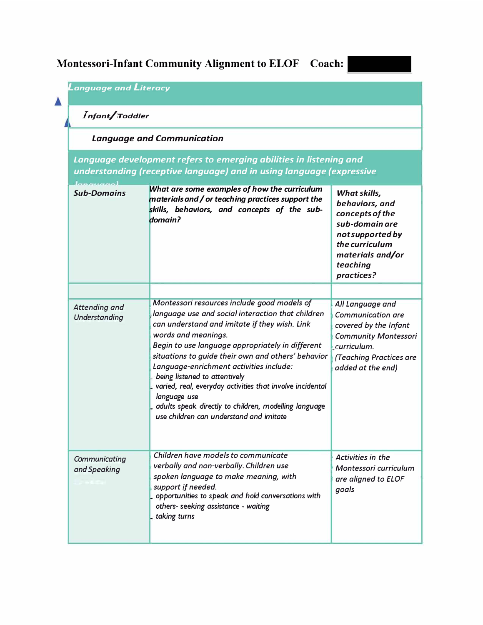## **Montessori-Infant Community Alignment to ELOF Coach:**

| Infant/Toddler<br><b>Language and Communication</b> |                                                                                                                                                                                                                                                                                                                                                                                                                                                                                                                                                 |                                                                                                                                                                      |  |  |  |  |
|-----------------------------------------------------|-------------------------------------------------------------------------------------------------------------------------------------------------------------------------------------------------------------------------------------------------------------------------------------------------------------------------------------------------------------------------------------------------------------------------------------------------------------------------------------------------------------------------------------------------|----------------------------------------------------------------------------------------------------------------------------------------------------------------------|--|--|--|--|
|                                                     |                                                                                                                                                                                                                                                                                                                                                                                                                                                                                                                                                 |                                                                                                                                                                      |  |  |  |  |
| <b>Sub-Domains</b>                                  | What are some examples of how the curriculum<br>materials and / or teaching practices support the<br>skills, behaviors, and concepts of the sub-<br>domain?                                                                                                                                                                                                                                                                                                                                                                                     | What skills,<br>behaviors, and<br>concepts of the<br>sub-domain are<br>not supported by<br>the curriculum<br>materials and/or<br>teaching<br>practices?              |  |  |  |  |
| Attending and<br><b>Understanding</b>               | Montessori resources include good models of<br>language use and social interaction that children<br>can understand and imitate if they wish. Link<br>words and meanings.<br>Begin to use language appropriately in different<br>situations to guide their own and others' behavior<br>Language-enrichment activities include:<br>being listened to attentively<br>varied, real, everyday activities that involve incidental<br>language use<br>adults speak directly to children, modelling language<br>use children can understand and imitate | All Language and<br><b>Communication are</b><br>covered by the Infant<br><b>Community Montessori</b><br>.curriculum.<br>(Teaching Practices are<br>added at the end) |  |  |  |  |
| Communicating<br>and Speaking                       | Children have models to communicate<br>verbally and non-verbally. Children use<br>spoken language to make meaning, with<br>support if needed.<br>opportunities to speak and hold conversations with<br>others- seeking assistance - waiting<br>- taking turns                                                                                                                                                                                                                                                                                   | Activities in the<br>Montessori curriculum<br>are aligned to ELOF<br>goals                                                                                           |  |  |  |  |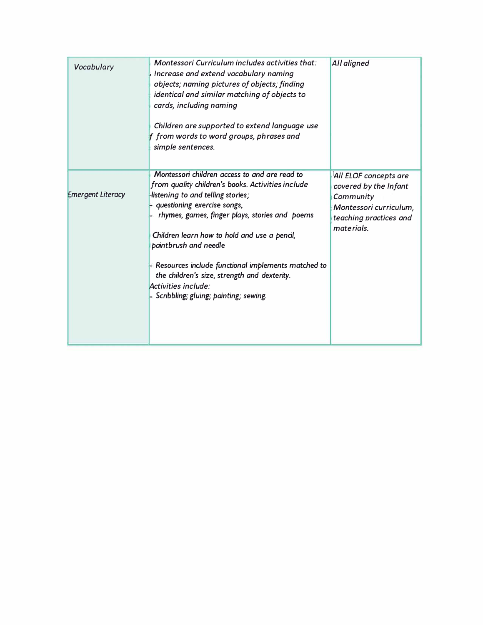| Vocabulary               | Montessori Curriculum includes activities that:<br>Increase and extend vocabulary naming<br>objects; naming pictures of objects; finding<br>identical and similar matching of objects to<br>cards, including naming<br>Children are supported to extend language use<br>f from words to word groups, phrases and<br>simple sentences.                                                                                                                                        | All aligned                                                                                                                   |
|--------------------------|------------------------------------------------------------------------------------------------------------------------------------------------------------------------------------------------------------------------------------------------------------------------------------------------------------------------------------------------------------------------------------------------------------------------------------------------------------------------------|-------------------------------------------------------------------------------------------------------------------------------|
| <b>Emergent Literacy</b> | Montessori children access to and are read to<br>from quality children's books. Activities include<br>-listening to and telling stories;<br>- questioning exercise songs,<br>rhymes, games, finger plays, stories and poems<br>Children learn how to hold and use a pencil,<br>paintbrush and needle<br>- Resources include functional implements matched to<br>the children's size, strength and dexterity.<br>Activities include:<br>Scribbling; gluing; painting; sewing. | All ELOF concepts are<br>covered by the Infant<br>Community<br>Montessori curriculum,<br>teaching practices and<br>materials. |